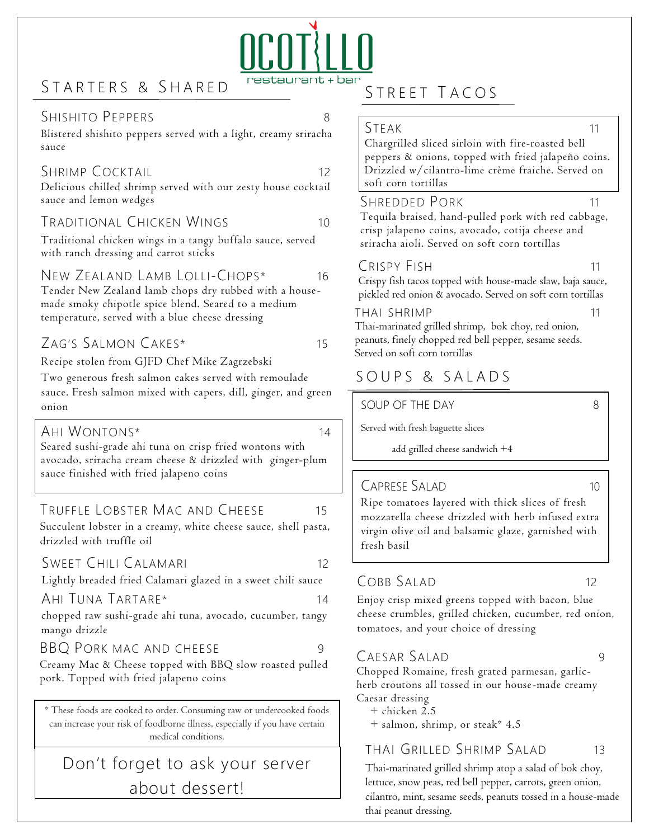# STARTERS & SHARED

#### $\mathcal{L}$  .  $\mathcal{L}$   $\mathcal{L}$ SHISHITO PEPPERS 8

Blistered shishito peppers served with a light, creamy sriracha sauce

#### SHRIMP COCKTAIL 12

Delicious chilled shrimp served with our zesty house cocktail sauce and lemon wedges

#### TRADITIONAL CHICKEN WINGS 10

Traditional chicken wings in a tangy buffalo sauce, served with ranch dressing and carrot sticks

#### New Zealand Lamb Lolli-Chops\* 16

Tender New Zealand lamb chops dry rubbed with a housemade smoky chipotle spice blend. Seared to a medium temperature, served with a blue cheese dressing

# ZAG'S SALMON CAKES\* 15

Recipe stolen from GJFD Chef Mike Zagrzebski

Two generous fresh salmon cakes served with remoulade sauce. Fresh salmon mixed with capers, dill, ginger, and green onion

#### AHI WONTONS\* 14

Seared sushi-grade ahi tuna on crisp fried wontons with avocado, sriracha cream cheese & drizzled with ginger-plum sauce finished with fried jalapeno coins

#### TRUFFLE LOBSTER MAC AND CHEESE 15

Succulent lobster in a creamy, white cheese sauce, shell pasta, drizzled with truffle oil

#### SWEET CHILI CALAMARI 12

Lightly breaded fried Calamari glazed in a sweet chili sauce

#### AHI TUNA TARTARE\* 14

chopped raw sushi-grade ahi tuna, avocado, cucumber, tangy mango drizzle

BBQ Pork mac and cheese 99

#### Creamy Mac & Cheese topped with BBQ slow roasted pulled pork. Topped with fried jalapeno coins

\* These foods are cooked to order. Consuming raw or undercooked foods can increase your risk of foodborne illness, especially if you have certain medical conditions.

# Don't forget to ask your server about dessert!

# STREET TACOS

#### STEAK 11

Chargrilled sliced sirloin with fire-roasted bell peppers & onions, topped with fried jalapeño coins. Drizzled w/cilantro-lime crème fraiche. Served on soft corn tortillas

#### SHREDDED PORK 11

Tequila braised, hand-pulled pork with red cabbage, crisp jalapeno coins, avocado, cotija cheese and sriracha aioli. Served on soft corn tortillas

#### CRISPY FISH 11

Crispy fish tacos topped with house-made slaw, baja sauce, pickled red onion & avocado. Served on soft corn tortillas

#### THAI SHRIMP 11

Thai-marinated grilled shrimp, bok choy, red onion, peanuts, finely chopped red bell pepper, sesame seeds. Served on soft corn tortillas

# S O U P S & S A L A D S

SOUP OF THE DAY 8

Served with fresh baguette slices

add grilled cheese sandwich +4

#### CAPRESE SALAD 10 Add Grilled cheese

Ripe tomatoes layered with thick slices of fresh mozzarella cheese drizzled with herb infused extra virgin olive oil and balsamic glaze, garnished with fresh basil

#### COBB SALAD 12

Enjoy crisp mixed greens topped with bacon, blue cheese crumbles, grilled chicken, cucumber, red onion, tomatoes, and your choice of dressing

#### CAESAR SALAD 9

Chopped Romaine, fresh grated parmesan, garlicherb croutons all tossed in our house-made creamy Caesar dressing

+ chicken 2.5

+ salmon, shrimp, or steak\* 4.5

### THAI GRILLED SHRIMP SALAD 13

Thai-marinated grilled shrimp atop a salad of bok choy, lettuce, snow peas, red bell pepper, carrots, green onion, cilantro, mint, sesame seeds, peanuts tossed in a house-made thai peanut dressing.

# estaurant + bar